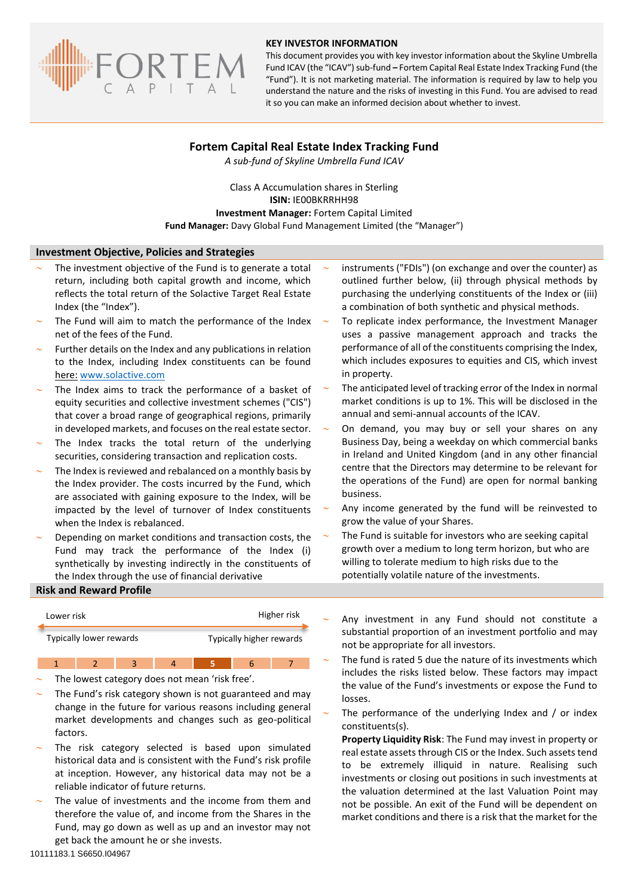

#### **KEY INVESTOR INFORMATION**

This document provides you with key investor information about the Skyline Umbrella Fund ICAV (the "ICAV") sub-fund **–** Fortem Capital Real Estate Index Tracking Fund (the "Fund"). It is not marketing material. The information is required by law to help you understand the nature and the risks of investing in this Fund. You are advised to read it so you can make an informed decision about whether to invest.

# **Fortem Capital Real Estate Index Tracking Fund**

*A sub-fund of Skyline Umbrella Fund ICAV*

Class A Accumulation shares in Sterling **ISIN:** IE00BKRRHH98 **Investment Manager:** Fortem Capital Limited **Fund Manager:** Davy Global Fund Management Limited (the "Manager")

### **Investment Objective, Policies and Strategies**

- The investment objective of the Fund is to generate a total return, including both capital growth and income, which reflects the total return of the Solactive Target Real Estate Index (the "Index").
- The Fund will aim to match the performance of the Index net of the fees of the Fund.
- Further details on the Index and any publications in relation to the Index, including Index constituents can be found here: [www.solactive.com](http://www.solactive.com/)
- The Index aims to track the performance of a basket of equity securities and collective investment schemes ("CIS") that cover a broad range of geographical regions, primarily in developed markets, and focuses on the real estate sector.
- The Index tracks the total return of the underlying securities, considering transaction and replication costs.
- The Index is reviewed and rebalanced on a monthly basis by the Index provider. The costs incurred by the Fund, which are associated with gaining exposure to the Index, will be impacted by the level of turnover of Index constituents when the Index is rebalanced.
- Depending on market conditions and transaction costs, the Fund may track the performance of the Index (i) synthetically by investing indirectly in the constituents of the Index through the use of financial derivative

### **Risk and Reward Profile**

| Lower risk |                                                     |  |  | Higher risk |  |  |
|------------|-----------------------------------------------------|--|--|-------------|--|--|
|            | Typically lower rewards<br>Typically higher rewards |  |  |             |  |  |
|            |                                                     |  |  |             |  |  |

The lowest category does not mean 'risk free'.

- The Fund's risk category shown is not guaranteed and may change in the future for various reasons including general market developments and changes such as geo-political factors.
- The risk category selected is based upon simulated historical data and is consistent with the Fund's risk profile at inception. However, any historical data may not be a reliable indicator of future returns.
- The value of investments and the income from them and therefore the value of, and income from the Shares in the Fund, may go down as well as up and an investor may not get back the amount he or she invests.
- instruments ("FDIs") (on exchange and over the counter) as outlined further below, (ii) through physical methods by purchasing the underlying constituents of the Index or (iii) a combination of both synthetic and physical methods.
- To replicate index performance, the Investment Manager uses a passive management approach and tracks the performance of all of the constituents comprising the Index, which includes exposures to equities and CIS, which invest in property.
- The anticipated level of tracking error of the Index in normal market conditions is up to 1%. This will be disclosed in the annual and semi-annual accounts of the ICAV.
- On demand, you may buy or sell your shares on any Business Day, being a weekday on which commercial banks in Ireland and United Kingdom (and in any other financial centre that the Directors may determine to be relevant for the operations of the Fund) are open for normal banking business.
- Any income generated by the fund will be reinvested to grow the value of your Shares.
- The Fund is suitable for investors who are seeking capital growth over a medium to long term horizon, but who are willing to tolerate medium to high risks due to the potentially volatile nature of the investments.
- Any investment in any Fund should not constitute a substantial proportion of an investment portfolio and may not be appropriate for all investors.
- The fund is rated 5 due the nature of its investments which includes the risks listed below. These factors may impact the value of the Fund's investments or expose the Fund to losses.
- The performance of the underlying Index and / or index constituents(s).

**Property Liquidity Risk**: The Fund may invest in property or real estate assets through CIS or the Index. Such assets tend to be extremely illiquid in nature. Realising such investments or closing out positions in such investments at the valuation determined at the last Valuation Point may not be possible. An exit of the Fund will be dependent on market conditions and there is a risk that the market for the